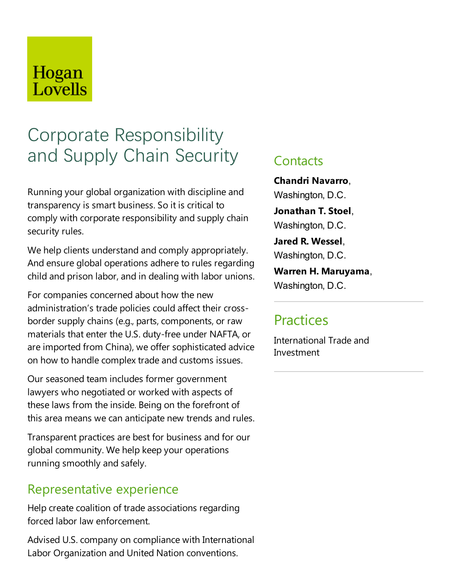## Hogan Lovells

# Corporate Responsibility and Supply Chain Security

Running your global organization with discipline and transparency is smart business. So it is critical to comply with corporate responsibility and supply chain security rules.

We help clients understand and comply appropriately. And ensure global operations adhere to rules regarding child and prison labor, and in dealing with labor unions.

For companies concerned about how the new administration's trade policies could affect their crossborder supply chains (e.g., parts, components, or raw materials that enter the U.S. duty-free under NAFTA, or are imported from China), we offer sophisticated advice on how to handle complex trade and customs issues.

Our seasoned team includes former government lawyers who negotiated or worked with aspects of these laws from the inside. Being on the forefront of this area means we can anticipate new trends and rules.

Transparent practices are best for business and for our global community. We help keep your operations running smoothly and safely.

### Representative experience

Help create coalition of trade associations regarding forced labor law enforcement.

Advised U.S. company on compliance with International Labor Organization and United Nation conventions.

### **Contacts**

**Chandri Navarro**, Washington, D.C.

**Jonathan T. Stoel**, Washington, D.C.

**Jared R. Wessel**, Washington, D.C.

**Warren H. Maruyama**, Washington, D.C.

### **Practices**

International Trade and Investment